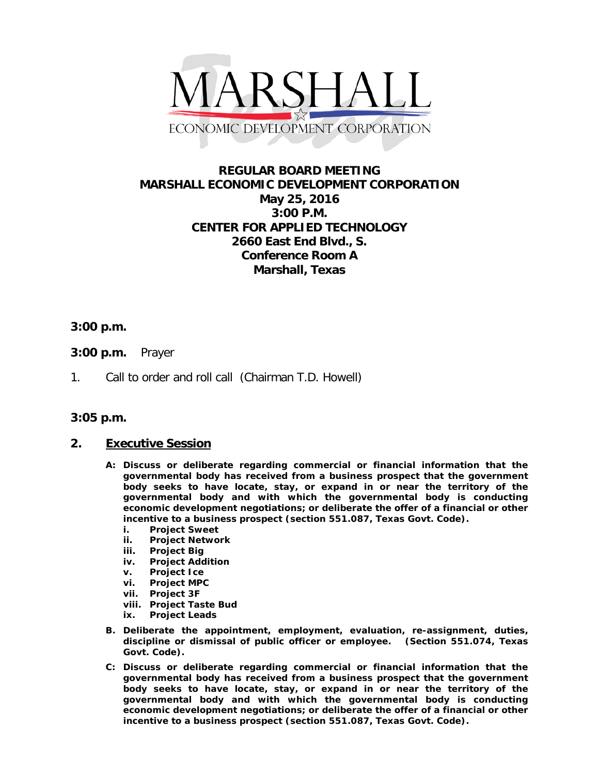

# **REGULAR BOARD MEETING MARSHALL ECONOMIC DEVELOPMENT CORPORATION May 25, 2016 3:00 P.M. CENTER FOR APPLIED TECHNOLOGY 2660 East End Blvd., S. Conference Room A Marshall, Texas**

## **3:00 p.m.**

- **3:00 p.m.** Prayer
- 1. Call to order and roll call (Chairman T.D. Howell)

### **3:05 p.m.**

### **2. Executive Session**

- **A: Discuss or deliberate regarding commercial or financial information that the governmental body has received from a business prospect that the government body seeks to have locate, stay, or expand in or near the territory of the governmental body and with which the governmental body is conducting economic development negotiations; or deliberate the offer of a financial or other incentive to a business prospect (section 551.087, Texas Govt. Code).**
	- **i. Project Sweet**
	- **ii. Project Network**
	- **iii. Project Big**
	- **iv. Project Addition**
	- **v. Project Ice**
	- **vi. Project MPC**
	- **vii. Project 3F**
	- **viii. Project Taste Bud**
	- **ix. Project Leads**
- **B. Deliberate the appointment, employment, evaluation, re-assignment, duties, discipline or dismissal of public officer or employee. (Section 551.074, Texas Govt. Code).**
- **C: Discuss or deliberate regarding commercial or financial information that the governmental body has received from a business prospect that the government body seeks to have locate, stay, or expand in or near the territory of the governmental body and with which the governmental body is conducting economic development negotiations; or deliberate the offer of a financial or other incentive to a business prospect (section 551.087, Texas Govt. Code).**